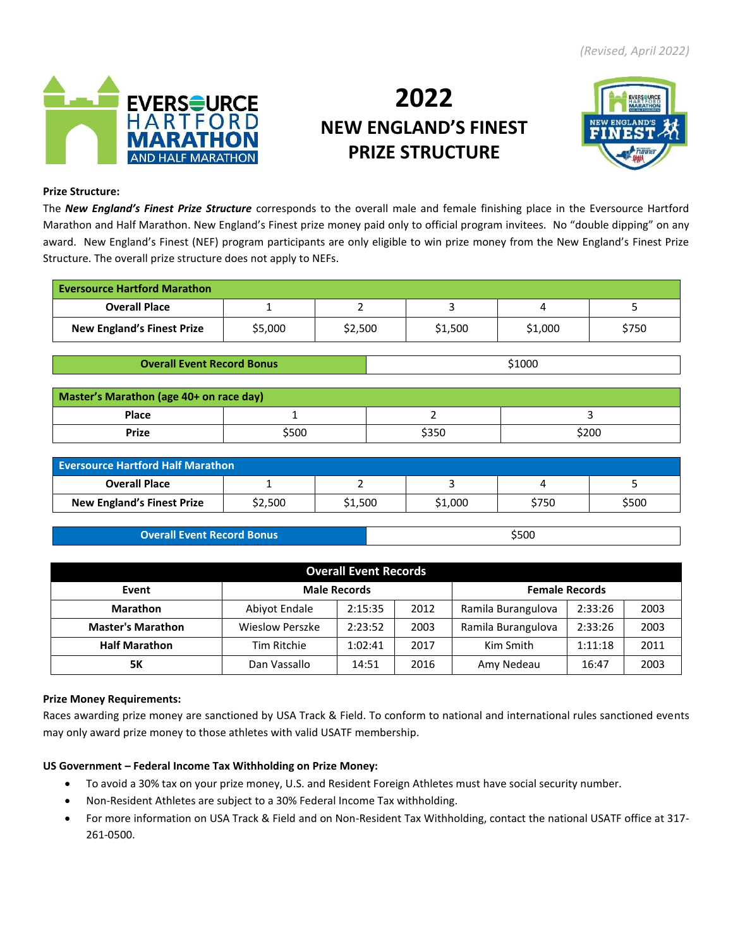

# **2022 NEW ENGLAND'S FINEST PRIZE STRUCTURE**



## **Prize Structure:**

The *New England's Finest Prize Structure* corresponds to the overall male and female finishing place in the Eversource Hartford Marathon and Half Marathon. New England's Finest prize money paid only to official program invitees. No "double dipping" on any award. New England's Finest (NEF) program participants are only eligible to win prize money from the New England's Finest Prize Structure. The overall prize structure does not apply to NEFs.

| <b>Eversource Hartford Marathon</b> |         |         |         |         |       |
|-------------------------------------|---------|---------|---------|---------|-------|
| <b>Overall Place</b>                |         |         |         |         |       |
| <b>New England's Finest Prize</b>   | \$5,000 | \$2,500 | \$1,500 | \$1,000 | \$750 |

**Overall Event Record Bonus by a strategy of the strategy of the strategy of the strategy of**  $\frac{1000}{2000}$ 

| Master's Marathon (age 40+ on race day) |       |       |       |  |  |  |  |
|-----------------------------------------|-------|-------|-------|--|--|--|--|
| <b>Place</b>                            |       |       |       |  |  |  |  |
| Prize                                   | \$500 | \$350 | \$200 |  |  |  |  |

| <b>Eversource Hartford Half Marathon</b> |         |         |         |       |       |  |  |
|------------------------------------------|---------|---------|---------|-------|-------|--|--|
| <b>Overall Place</b>                     |         |         |         |       |       |  |  |
| <b>New England's Finest Prize</b>        | \$2,500 | \$1,500 | \$1,000 | \$750 | \$500 |  |  |

| <b>Overall Event Record Bonus</b> | \$500 |
|-----------------------------------|-------|

| <b>Overall Event Records</b> |                                  |         |      |                    |                       |      |  |  |
|------------------------------|----------------------------------|---------|------|--------------------|-----------------------|------|--|--|
| Event                        | <b>Male Records</b>              |         |      |                    | <b>Female Records</b> |      |  |  |
| <b>Marathon</b>              | Abiyot Endale<br>2:15:35<br>2012 |         |      | Ramila Burangulova | 2:33:26               | 2003 |  |  |
| <b>Master's Marathon</b>     | <b>Wieslow Perszke</b>           | 2:23:52 | 2003 | Ramila Burangulova | 2:33:26               | 2003 |  |  |
| <b>Half Marathon</b>         | Tim Ritchie                      | 1:02:41 | 2017 | Kim Smith          | 1:11:18               | 2011 |  |  |
| 5Κ                           | Dan Vassallo                     | 14:51   | 2016 | Amy Nedeau         | 16:47                 | 2003 |  |  |

#### **Prize Money Requirements:**

Races awarding prize money are sanctioned by USA Track & Field. To conform to national and international rules sanctioned events may only award prize money to those athletes with valid USATF membership.

# **US Government – Federal Income Tax Withholding on Prize Money:**

- To avoid a 30% tax on your prize money, U.S. and Resident Foreign Athletes must have social security number.
- Non-Resident Athletes are subject to a 30% Federal Income Tax withholding.
- For more information on USA Track & Field and on Non-Resident Tax Withholding, contact the national USATF office at 317- 261-0500.